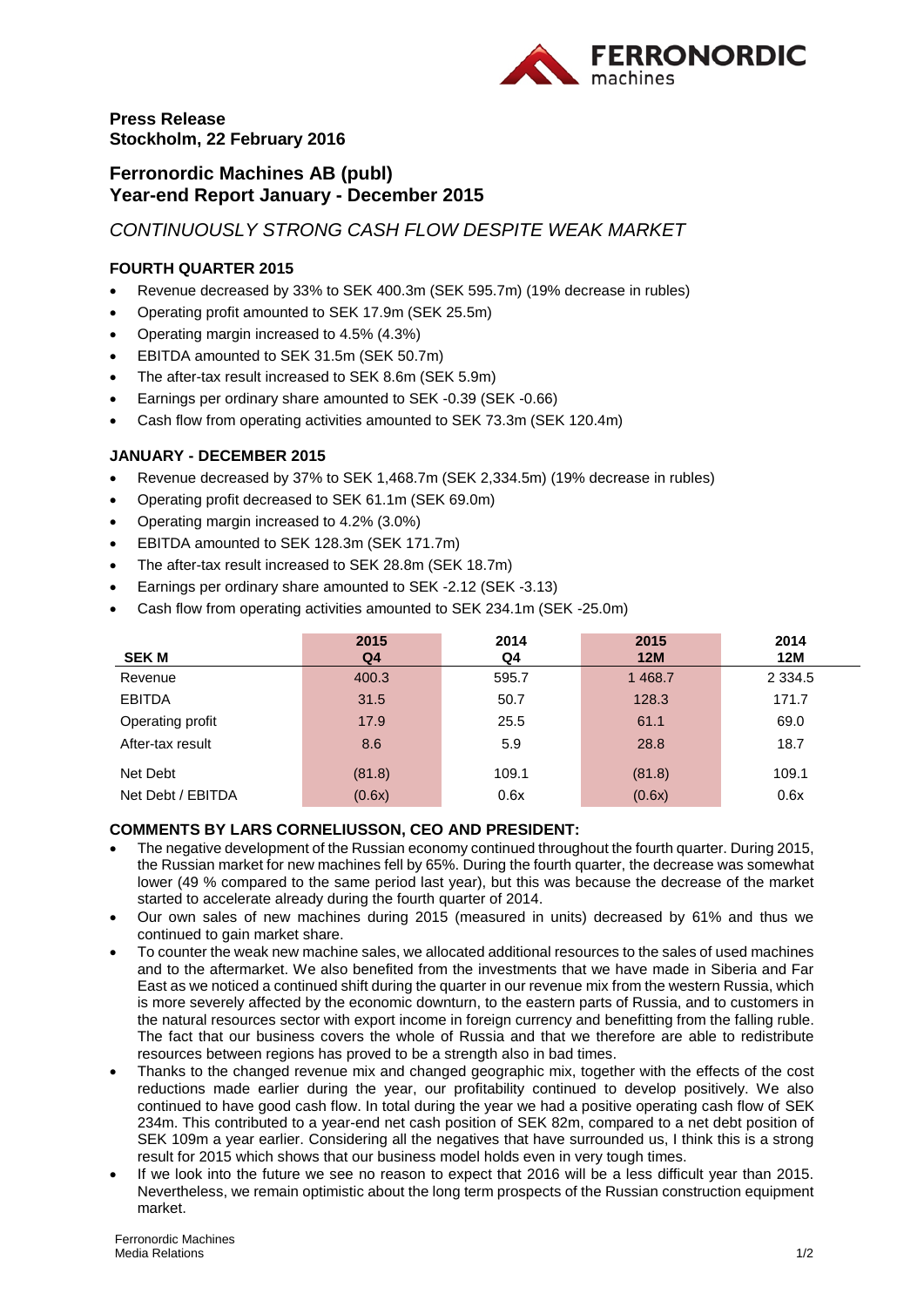

# **Press Release Stockholm, 22 February 2016**

# **Ferronordic Machines AB (publ) Year-end Report January - December 2015**

*CONTINUOUSLY STRONG CASH FLOW DESPITE WEAK MARKET*

# **FOURTH QUARTER 2015**

- Revenue decreased by 33% to SEK 400.3m (SEK 595.7m) (19% decrease in rubles)
- Operating profit amounted to SEK 17.9m (SEK 25.5m)
- Operating margin increased to 4.5% (4.3%)
- EBITDA amounted to SEK 31.5m (SEK 50.7m)
- The after-tax result increased to SEK 8.6m (SEK 5.9m)
- Earnings per ordinary share amounted to SEK -0.39 (SEK -0.66)
- Cash flow from operating activities amounted to SEK 73.3m (SEK 120.4m)

## **JANUARY - DECEMBER 2015**

- Revenue decreased by 37% to SEK 1,468.7m (SEK 2,334.5m) (19% decrease in rubles)
- Operating profit decreased to SEK 61.1m (SEK 69.0m)
- Operating margin increased to 4.2% (3.0%)
- EBITDA amounted to SEK 128.3m (SEK 171.7m)
- The after-tax result increased to SEK 28.8m (SEK 18.7m)
- Earnings per ordinary share amounted to SEK -2.12 (SEK -3.13)
- Cash flow from operating activities amounted to SEK 234.1m (SEK -25.0m)

| <b>SEK M</b>      | 2015<br>Q4 | 2014<br>Q4 | 2015<br><b>12M</b> | 2014<br>12M |
|-------------------|------------|------------|--------------------|-------------|
| Revenue           | 400.3      | 595.7      | 1 4 68.7           | 2 3 3 4 .5  |
| <b>EBITDA</b>     | 31.5       | 50.7       | 128.3              | 171.7       |
| Operating profit  | 17.9       | 25.5       | 61.1               | 69.0        |
| After-tax result  | 8.6        | 5.9        | 28.8               | 18.7        |
| Net Debt          | (81.8)     | 109.1      | (81.8)             | 109.1       |
| Net Debt / EBITDA | (0.6x)     | 0.6x       | (0.6x)             | 0.6x        |

### **COMMENTS BY LARS CORNELIUSSON, CEO AND PRESIDENT:**

- The negative development of the Russian economy continued throughout the fourth quarter. During 2015, the Russian market for new machines fell by 65%. During the fourth quarter, the decrease was somewhat lower (49 % compared to the same period last year), but this was because the decrease of the market started to accelerate already during the fourth quarter of 2014.
- Our own sales of new machines during 2015 (measured in units) decreased by 61% and thus we continued to gain market share.
- To counter the weak new machine sales, we allocated additional resources to the sales of used machines and to the aftermarket. We also benefited from the investments that we have made in Siberia and Far East as we noticed a continued shift during the quarter in our revenue mix from the western Russia, which is more severely affected by the economic downturn, to the eastern parts of Russia, and to customers in the natural resources sector with export income in foreign currency and benefitting from the falling ruble. The fact that our business covers the whole of Russia and that we therefore are able to redistribute resources between regions has proved to be a strength also in bad times.
- Thanks to the changed revenue mix and changed geographic mix, together with the effects of the cost reductions made earlier during the year, our profitability continued to develop positively. We also continued to have good cash flow. In total during the year we had a positive operating cash flow of SEK 234m. This contributed to a year-end net cash position of SEK 82m, compared to a net debt position of SEK 109m a year earlier. Considering all the negatives that have surrounded us, I think this is a strong result for 2015 which shows that our business model holds even in very tough times.
- If we look into the future we see no reason to expect that 2016 will be a less difficult year than 2015. Nevertheless, we remain optimistic about the long term prospects of the Russian construction equipment market.